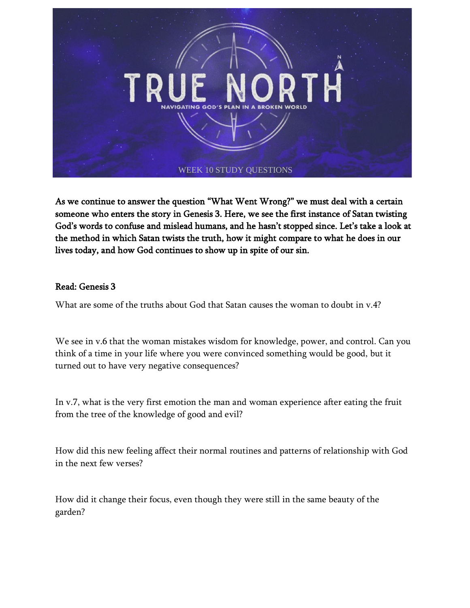

As we continue to answer the question "What Went Wrong?" we must deal with a certain someone who enters the story in Genesis 3. Here, we see the first instance of Satan twisting God's words to confuse and mislead humans, and he hasn't stopped since. Let's take a look at the method in which Satan twists the truth, how it might compare to what he does in our lives today, and how God continues to show up in spite of our sin.

## Read: Genesis 3

What are some of the truths about God that Satan causes the woman to doubt in v.4?

We see in v.6 that the woman mistakes wisdom for knowledge, power, and control. Can you think of a time in your life where you were convinced something would be good, but it turned out to have very negative consequences?

In v.7, what is the very first emotion the man and woman experience after eating the fruit from the tree of the knowledge of good and evil?

How did this new feeling affect their normal routines and patterns of relationship with God in the next few verses?

How did it change their focus, even though they were still in the same beauty of the garden?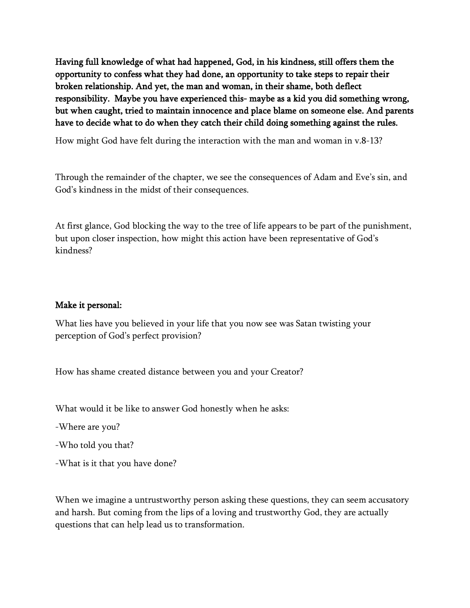Having full knowledge of what had happened, God, in his kindness, still offers them the opportunity to confess what they had done, an opportunity to take steps to repair their broken relationship. And yet, the man and woman, in their shame, both deflect responsibility. Maybe you have experienced this- maybe as a kid you did something wrong, but when caught, tried to maintain innocence and place blame on someone else. And parents have to decide what to do when they catch their child doing something against the rules.

How might God have felt during the interaction with the man and woman in v.8-13?

Through the remainder of the chapter, we see the consequences of Adam and Eve's sin, and God's kindness in the midst of their consequences.

At first glance, God blocking the way to the tree of life appears to be part of the punishment, but upon closer inspection, how might this action have been representative of God's kindness?

## Make it personal:

What lies have you believed in your life that you now see was Satan twisting your perception of God's perfect provision?

How has shame created distance between you and your Creator?

What would it be like to answer God honestly when he asks:

-Where are you?

-Who told you that?

-What is it that you have done?

When we imagine a untrustworthy person asking these questions, they can seem accusatory and harsh. But coming from the lips of a loving and trustworthy God, they are actually questions that can help lead us to transformation.